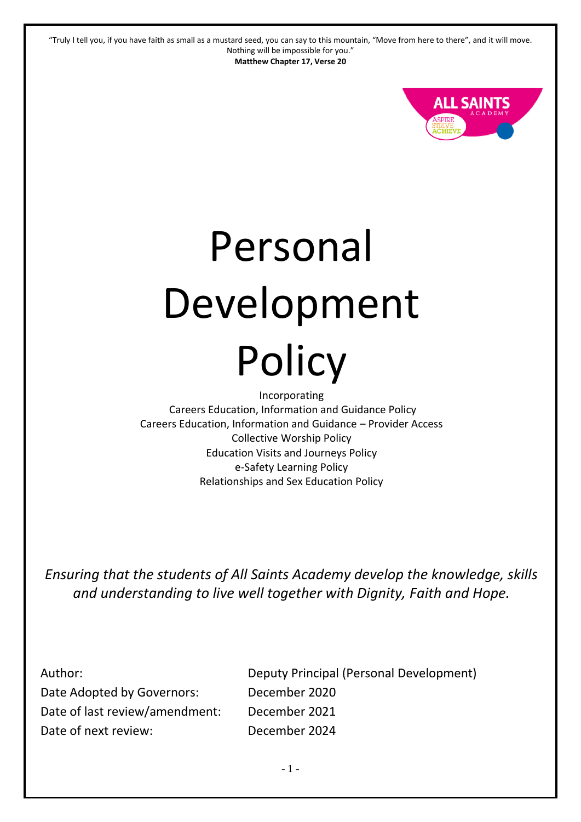

# Personal Development **Policy**

Incorporating Careers Education, Information and Guidance Policy Careers Education, Information and Guidance – Provider Access Collective Worship Policy Education Visits and Journeys Policy e-Safety Learning Policy Relationships and Sex Education Policy

*Ensuring that the students of All Saints Academy develop the knowledge, skills and understanding to live well together with Dignity, Faith and Hope.*

Author: Date Adopted by Governors: Date of last review/amendment: Date of next review:

Deputy Principal (Personal Development) December 2020 December 2021 December 2024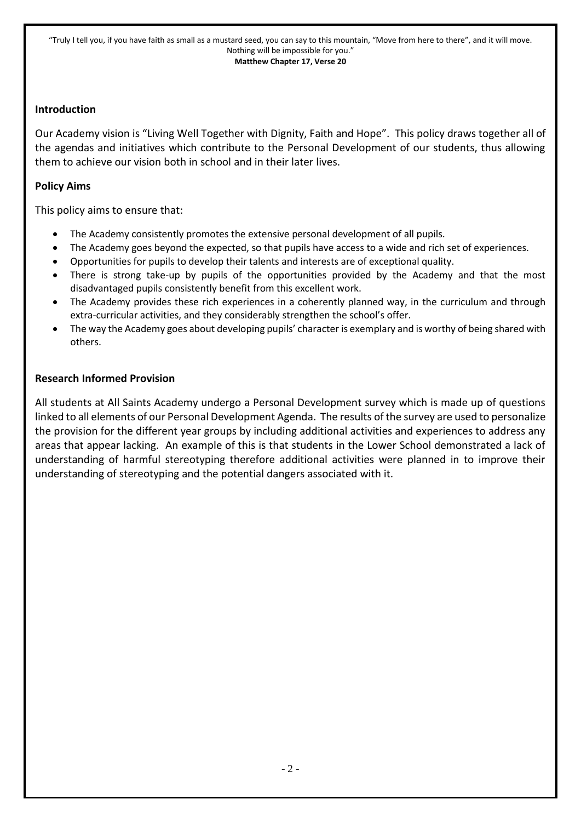#### **Introduction**

Our Academy vision is "Living Well Together with Dignity, Faith and Hope". This policy draws together all of the agendas and initiatives which contribute to the Personal Development of our students, thus allowing them to achieve our vision both in school and in their later lives.

#### **Policy Aims**

This policy aims to ensure that:

- The Academy consistently promotes the extensive personal development of all pupils.
- The Academy goes beyond the expected, so that pupils have access to a wide and rich set of experiences.
- Opportunities for pupils to develop their talents and interests are of exceptional quality.
- There is strong take-up by pupils of the opportunities provided by the Academy and that the most disadvantaged pupils consistently benefit from this excellent work.
- The Academy provides these rich experiences in a coherently planned way, in the curriculum and through extra-curricular activities, and they considerably strengthen the school's offer.
- The way the Academy goes about developing pupils' character is exemplary and is worthy of being shared with others.

#### **Research Informed Provision**

All students at All Saints Academy undergo a Personal Development survey which is made up of questions linked to all elements of our Personal Development Agenda. The results of the survey are used to personalize the provision for the different year groups by including additional activities and experiences to address any areas that appear lacking. An example of this is that students in the Lower School demonstrated a lack of understanding of harmful stereotyping therefore additional activities were planned in to improve their understanding of stereotyping and the potential dangers associated with it.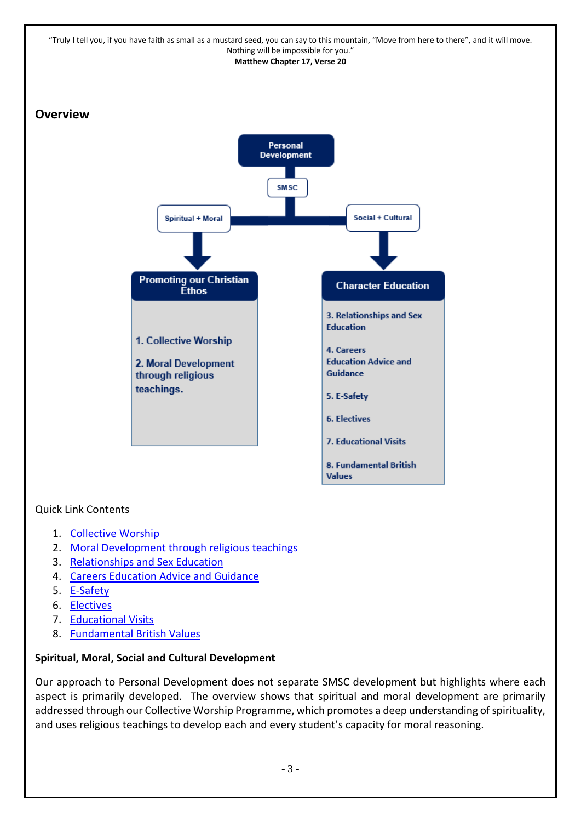

#### Quick Link Contents

- 1. [Collective Worship](#page-4-0)
- 2. [Moral Development through religious teachings](#page-8-0)
- 3. [Relationships and Sex Education](#page-10-0)
- 4. [Careers Education Advice and Guidance](#page-13-0)
- 5. [E-Safety](#page-20-0)
- 6. [Electives](#page-23-0)
- 7. [Educational Visits](#page-25-0)
- 8. [Fundamental British Values](#page-29-0)

#### **Spiritual, Moral, Social and Cultural Development**

Our approach to Personal Development does not separate SMSC development but highlights where each aspect is primarily developed. The overview shows that spiritual and moral development are primarily addressed through our Collective Worship Programme, which promotes a deep understanding of spirituality, and uses religious teachings to develop each and every student's capacity for moral reasoning.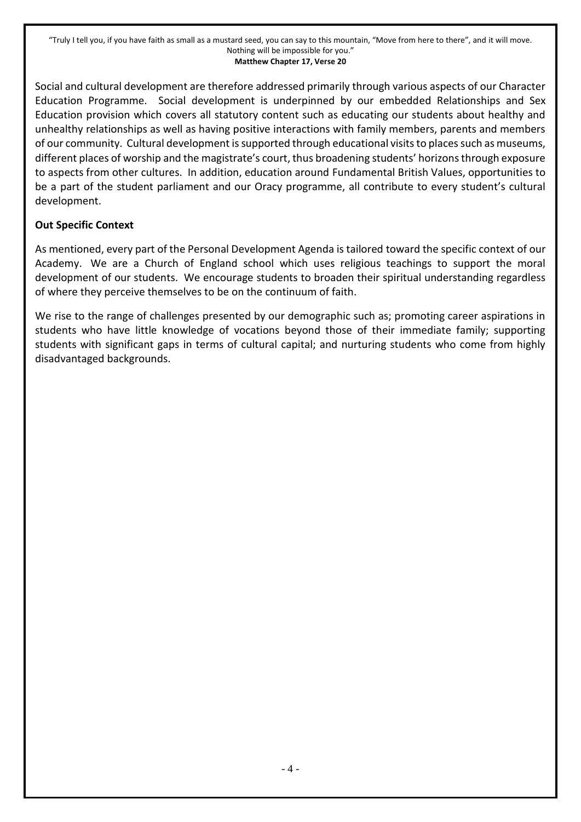Social and cultural development are therefore addressed primarily through various aspects of our Character Education Programme. Social development is underpinned by our embedded Relationships and Sex Education provision which covers all statutory content such as educating our students about healthy and unhealthy relationships as well as having positive interactions with family members, parents and members of our community. Cultural development is supported through educational visits to places such as museums, different places of worship and the magistrate's court, thus broadening students' horizons through exposure to aspects from other cultures. In addition, education around Fundamental British Values, opportunities to be a part of the student parliament and our Oracy programme, all contribute to every student's cultural development.

#### **Out Specific Context**

As mentioned, every part of the Personal Development Agenda is tailored toward the specific context of our Academy. We are a Church of England school which uses religious teachings to support the moral development of our students. We encourage students to broaden their spiritual understanding regardless of where they perceive themselves to be on the continuum of faith.

We rise to the range of challenges presented by our demographic such as; promoting career aspirations in students who have little knowledge of vocations beyond those of their immediate family; supporting students with significant gaps in terms of cultural capital; and nurturing students who come from highly disadvantaged backgrounds.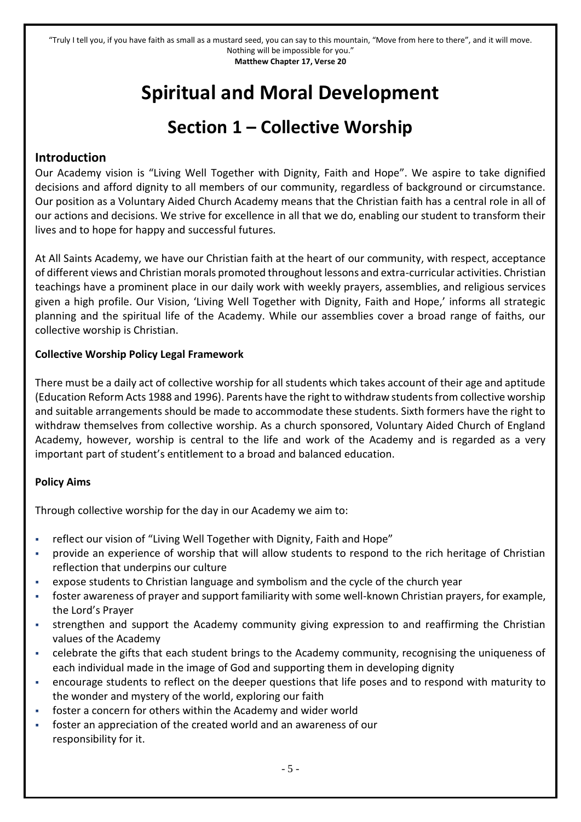# **Spiritual and Moral Development**

# **Section 1 – Collective Worship**

#### <span id="page-4-0"></span>**Introduction**

Our Academy vision is "Living Well Together with Dignity, Faith and Hope". We aspire to take dignified decisions and afford dignity to all members of our community, regardless of background or circumstance. Our position as a Voluntary Aided Church Academy means that the Christian faith has a central role in all of our actions and decisions. We strive for excellence in all that we do, enabling our student to transform their lives and to hope for happy and successful futures.

At All Saints Academy, we have our Christian faith at the heart of our community, with respect, acceptance of different views and Christian morals promoted throughout lessons and extra-curricular activities. Christian teachings have a prominent place in our daily work with weekly prayers, assemblies, and religious services given a high profile. Our Vision, 'Living Well Together with Dignity, Faith and Hope,' informs all strategic planning and the spiritual life of the Academy. While our assemblies cover a broad range of faiths, our collective worship is Christian.

#### **Collective Worship Policy Legal Framework**

There must be a daily act of collective worship for all students which takes account of their age and aptitude (Education Reform Acts 1988 and 1996). Parents have the right to withdraw students from collective worship and suitable arrangements should be made to accommodate these students. Sixth formers have the right to withdraw themselves from collective worship. As a church sponsored, Voluntary Aided Church of England Academy, however, worship is central to the life and work of the Academy and is regarded as a very important part of student's entitlement to a broad and balanced education.

#### **Policy Aims**

Through collective worship for the day in our Academy we aim to:

- reflect our vision of "Living Well Together with Dignity, Faith and Hope"
- provide an experience of worship that will allow students to respond to the rich heritage of Christian reflection that underpins our culture
- expose students to Christian language and symbolism and the cycle of the church year
- foster awareness of prayer and support familiarity with some well-known Christian prayers, for example, the Lord's Prayer
- strengthen and support the Academy community giving expression to and reaffirming the Christian values of the Academy
- celebrate the gifts that each student brings to the Academy community, recognising the uniqueness of each individual made in the image of God and supporting them in developing dignity
- encourage students to reflect on the deeper questions that life poses and to respond with maturity to the wonder and mystery of the world, exploring our faith
- foster a concern for others within the Academy and wider world
- foster an appreciation of the created world and an awareness of our responsibility for it.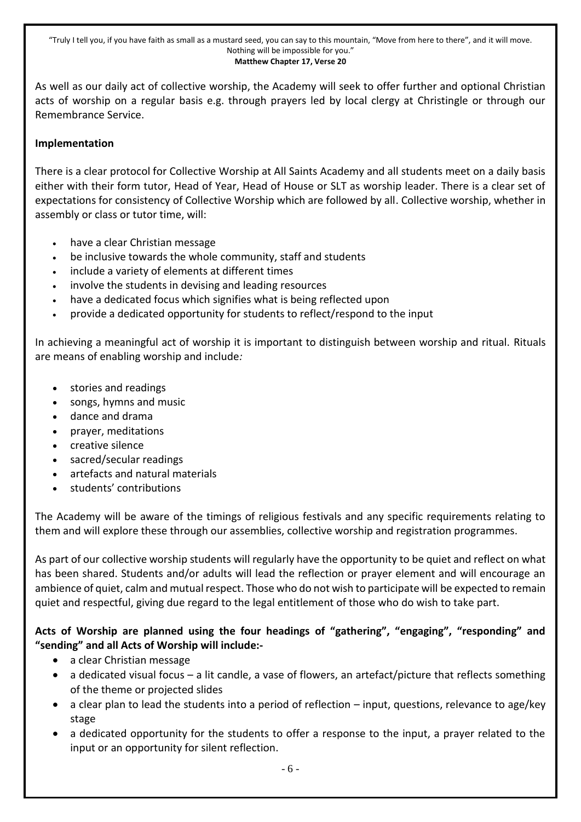As well as our daily act of collective worship, the Academy will seek to offer further and optional Christian acts of worship on a regular basis e.g. through prayers led by local clergy at Christingle or through our Remembrance Service.

#### **Implementation**

There is a clear protocol for Collective Worship at All Saints Academy and all students meet on a daily basis either with their form tutor, Head of Year, Head of House or SLT as worship leader. There is a clear set of expectations for consistency of Collective Worship which are followed by all. Collective worship, whether in assembly or class or tutor time, will:

- have a clear Christian message
- be inclusive towards the whole community, staff and students
- include a variety of elements at different times
- involve the students in devising and leading resources
- have a dedicated focus which signifies what is being reflected upon
- provide a dedicated opportunity for students to reflect/respond to the input

In achieving a meaningful act of worship it is important to distinguish between worship and ritual. Rituals are means of enabling worship and include*:* 

- stories and readings
- songs, hymns and music
- dance and drama
- prayer, meditations
- creative silence
- sacred/secular readings
- artefacts and natural materials
- students' contributions

The Academy will be aware of the timings of religious festivals and any specific requirements relating to them and will explore these through our assemblies, collective worship and registration programmes.

As part of our collective worship students will regularly have the opportunity to be quiet and reflect on what has been shared. Students and/or adults will lead the reflection or prayer element and will encourage an ambience of quiet, calm and mutual respect. Those who do not wish to participate will be expected to remain quiet and respectful, giving due regard to the legal entitlement of those who do wish to take part.

**Acts of Worship are planned using the four headings of "gathering", "engaging", "responding" and "sending" and all Acts of Worship will include:-**

- a clear Christian message
- a dedicated visual focus a lit candle, a vase of flowers, an artefact/picture that reflects something of the theme or projected slides
- a clear plan to lead the students into a period of reflection input, questions, relevance to age/key stage
- a dedicated opportunity for the students to offer a response to the input, a prayer related to the input or an opportunity for silent reflection.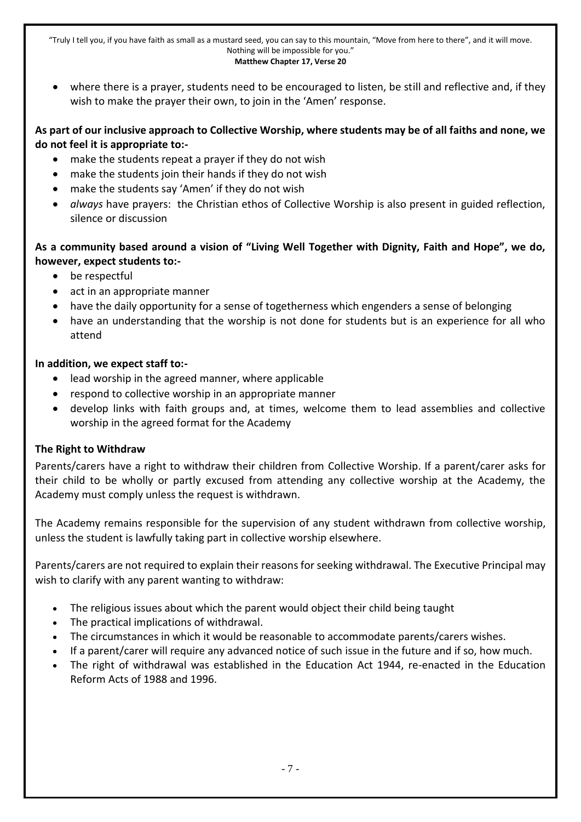where there is a prayer, students need to be encouraged to listen, be still and reflective and, if they wish to make the prayer their own, to join in the 'Amen' response.

#### **As part of our inclusive approach to Collective Worship, where students may be of all faiths and none, we do not feel it is appropriate to:-**

- make the students repeat a prayer if they do not wish
- make the students join their hands if they do not wish
- make the students say 'Amen' if they do not wish
- *always* have prayers: the Christian ethos of Collective Worship is also present in guided reflection, silence or discussion

#### **As a community based around a vision of "Living Well Together with Dignity, Faith and Hope", we do, however, expect students to:-**

- be respectful
- act in an appropriate manner
- have the daily opportunity for a sense of togetherness which engenders a sense of belonging
- have an understanding that the worship is not done for students but is an experience for all who attend

#### **In addition, we expect staff to:-**

- lead worship in the agreed manner, where applicable
- respond to collective worship in an appropriate manner
- develop links with faith groups and, at times, welcome them to lead assemblies and collective worship in the agreed format for the Academy

#### **The Right to Withdraw**

Parents/carers have a right to withdraw their children from Collective Worship. If a parent/carer asks for their child to be wholly or partly excused from attending any collective worship at the Academy, the Academy must comply unless the request is withdrawn.

The Academy remains responsible for the supervision of any student withdrawn from collective worship, unless the student is lawfully taking part in collective worship elsewhere.

Parents/carers are not required to explain their reasons for seeking withdrawal. The Executive Principal may wish to clarify with any parent wanting to withdraw:

- The religious issues about which the parent would object their child being taught
- The practical implications of withdrawal.
- The circumstances in which it would be reasonable to accommodate parents/carers wishes.
- If a parent/carer will require any advanced notice of such issue in the future and if so, how much.
- The right of withdrawal was established in the Education Act 1944, re-enacted in the Education Reform Acts of 1988 and 1996.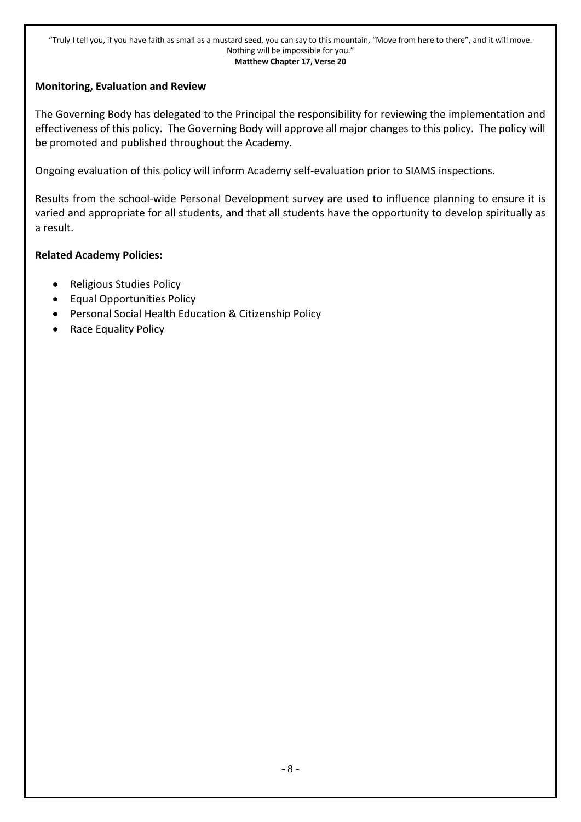#### **Monitoring, Evaluation and Review**

The Governing Body has delegated to the Principal the responsibility for reviewing the implementation and effectiveness of this policy. The Governing Body will approve all major changes to this policy. The policy will be promoted and published throughout the Academy.

Ongoing evaluation of this policy will inform Academy self-evaluation prior to SIAMS inspections.

Results from the school-wide Personal Development survey are used to influence planning to ensure it is varied and appropriate for all students, and that all students have the opportunity to develop spiritually as a result.

#### **Related Academy Policies:**

- Religious Studies Policy
- Equal Opportunities Policy
- Personal Social Health Education & Citizenship Policy
- Race Equality Policy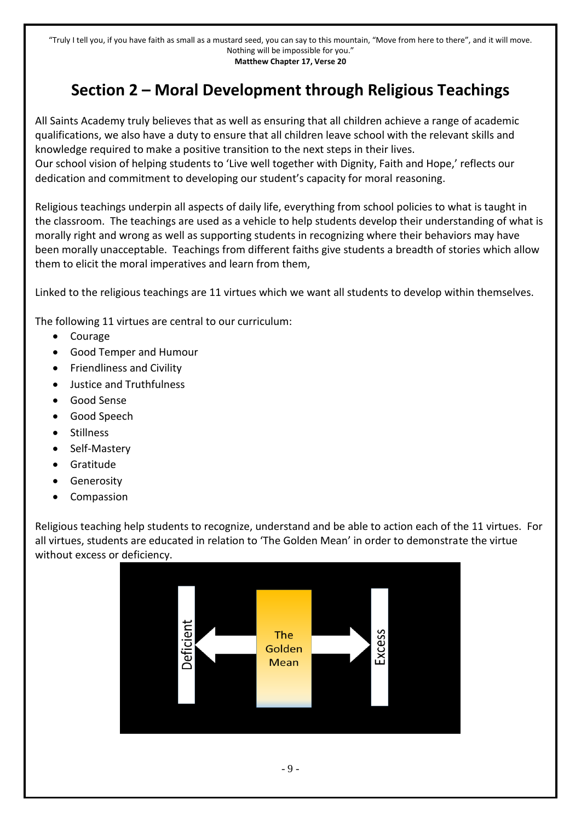# **Section 2 – Moral Development through Religious Teachings**

<span id="page-8-0"></span>All Saints Academy truly believes that as well as ensuring that all children achieve a range of academic qualifications, we also have a duty to ensure that all children leave school with the relevant skills and knowledge required to make a positive transition to the next steps in their lives.

Our school vision of helping students to 'Live well together with Dignity, Faith and Hope,' reflects our dedication and commitment to developing our student's capacity for moral reasoning.

Religious teachings underpin all aspects of daily life, everything from school policies to what is taught in the classroom. The teachings are used as a vehicle to help students develop their understanding of what is morally right and wrong as well as supporting students in recognizing where their behaviors may have been morally unacceptable. Teachings from different faiths give students a breadth of stories which allow them to elicit the moral imperatives and learn from them,

Linked to the religious teachings are 11 virtues which we want all students to develop within themselves.

The following 11 virtues are central to our curriculum:

- Courage
- Good Temper and Humour
- **•** Friendliness and Civility
- Justice and Truthfulness
- Good Sense
- Good Speech
- Stillness
- Self-Mastery
- **•** Gratitude
- Generosity
- Compassion

Religious teaching help students to recognize, understand and be able to action each of the 11 virtues. For all virtues, students are educated in relation to 'The Golden Mean' in order to demonstrate the virtue without excess or deficiency.

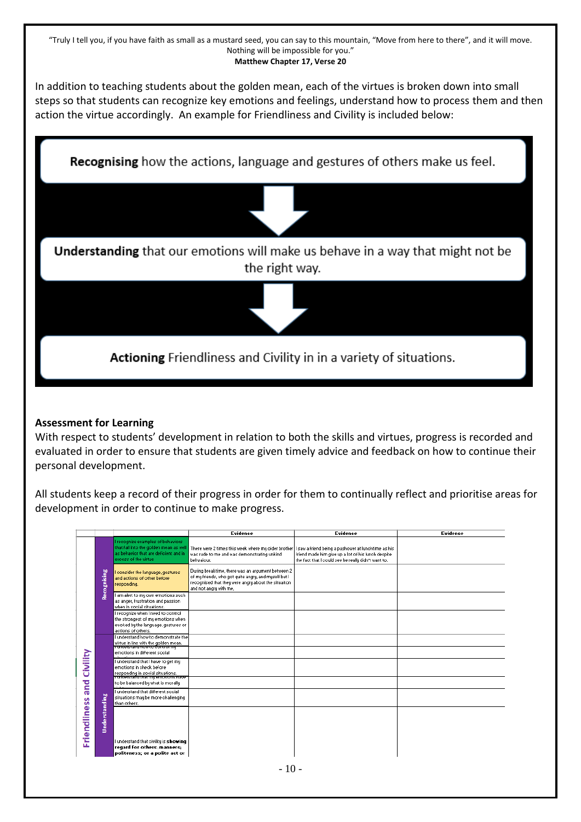In addition to teaching students about the golden mean, each of the virtues is broken down into small steps so that students can recognize key emotions and feelings, understand how to process them and then action the virtue accordingly. An example for Friendliness and Civility is included below:

**Recognising** how the actions, language and gestures of others make us feel. Understanding that our emotions will make us behave in a way that might not be the right way. Actioning Friendliness and Civility in in a variety of situations.

#### **Assessment for Learning**

With respect to students' development in relation to both the skills and virtues, progress is recorded and evaluated in order to ensure that students are given timely advice and feedback on how to continue their personal development.

All students keep a record of their progress in order for them to continually reflect and prioritise areas for development in order to continue to make progress.

|                     |               |                                                                                                                                              | Evidence                                                                                                                                                                                   | Evidence                                                                                                  | Evidence |
|---------------------|---------------|----------------------------------------------------------------------------------------------------------------------------------------------|--------------------------------------------------------------------------------------------------------------------------------------------------------------------------------------------|-----------------------------------------------------------------------------------------------------------|----------|
|                     |               | Frecognize examples of behaviors<br>that fall into the golden mean as well<br>as behavior that are deficient and in<br>excess of the virtue. | There were 2 times this week where my older brother   I saw a friend being a pushover at lunchtime as his<br>was rude to me and was demonstrating unkind<br>behvaiour.                     | friend made him give up a lot of his lunch despite<br>the fact that I could see he really didn't want to. |          |
|                     | Recognising   | consider the language, gestures<br>and actions of other before<br>responding.                                                                | During breaktime, there was an argument between 2<br>of my friends, who got quite angry, and myself but I<br>recognised that they were angry about the situaiton<br>and not angry with me, |                                                                                                           |          |
|                     |               | I am alert to my own emotions such<br>as anger, frustration and passion<br>when in social situations.                                        |                                                                                                                                                                                            |                                                                                                           |          |
|                     |               | I recognize when I need to control<br>the strongest of my emotions when<br>evoked by the language, gestures or<br>actions of others.         |                                                                                                                                                                                            |                                                                                                           |          |
|                     |               | I understand how to demonstrate the<br>virtue in line with the golden mean.<br>Tunuerstand now to control my                                 |                                                                                                                                                                                            |                                                                                                           |          |
|                     |               | emotions in different social                                                                                                                 |                                                                                                                                                                                            |                                                                                                           |          |
| Civility            |               | I understand that I have to get my<br>emotions in check before<br>responding in social situations.<br>Tunuerstand that my emotions nave      |                                                                                                                                                                                            |                                                                                                           |          |
| and                 |               | to be balanced by what is morally                                                                                                            |                                                                                                                                                                                            |                                                                                                           |          |
|                     |               | I understand that different social<br>situations may be more challenging<br>than others.                                                     |                                                                                                                                                                                            |                                                                                                           |          |
| <b>Friendliness</b> | Understanding |                                                                                                                                              |                                                                                                                                                                                            |                                                                                                           |          |
|                     |               | I understand that civility is showing<br>regard for others; manners;<br>politeness; or a polite act or                                       |                                                                                                                                                                                            |                                                                                                           |          |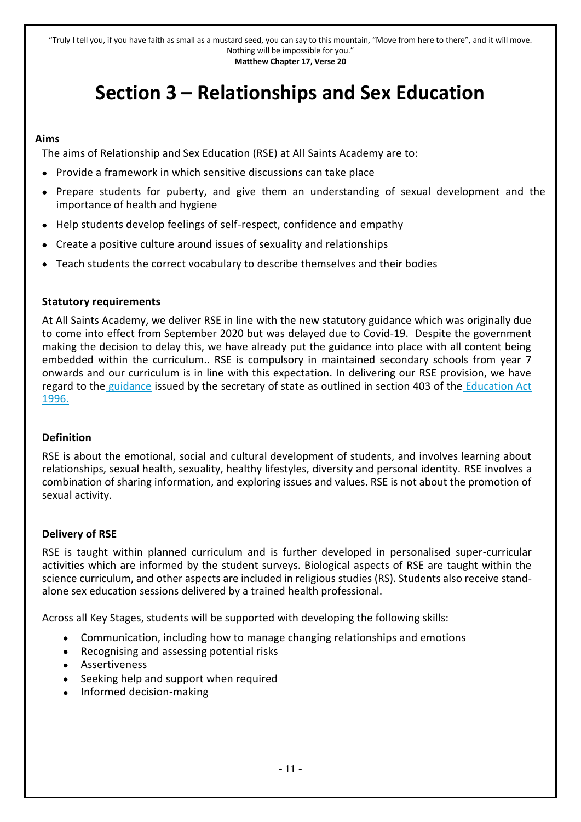# **Section 3 – Relationships and Sex Education**

#### <span id="page-10-0"></span>**Aims**

The aims of Relationship and Sex Education (RSE) at All Saints Academy are to:

- Provide a framework in which sensitive discussions can take place
- Prepare students for puberty, and give them an understanding of sexual development and the importance of health and hygiene
- Help students develop feelings of self-respect, confidence and empathy
- Create a positive culture around issues of sexuality and relationships
- Teach students the correct vocabulary to describe themselves and their bodies

#### **Statutory requirements**

At All Saints Academy, we deliver RSE in line with the new statutory guidance which was originally due to come into effect from September 2020 but was delayed due to Covid-19. Despite the government making the decision to delay this, we have already put the guidance into place with all content being embedded within the curriculum.. RSE is compulsory in maintained secondary schools from year 7 onwards and our curriculum is in line with this expectation. In delivering our RSE provision, we have regard to the guidance issued by the secretary of state as outlined in section 403 of the Education Act 1996.

#### **Definition**

RSE is about the emotional, social and cultural development of students, and involves learning about relationships, sexual health, sexuality, healthy lifestyles, diversity and personal identity. RSE involves a combination of sharing information, and exploring issues and values. RSE is not about the promotion of sexual activity.

#### **Delivery of RSE**

RSE is taught within planned curriculum and is further developed in personalised super-curricular activities which are informed by the student surveys. Biological aspects of RSE are taught within the science curriculum, and other aspects are included in religious studies (RS). Students also receive standalone sex education sessions delivered by a trained health professional.

Across all Key Stages, students will be supported with developing the following skills:

- Communication, including how to manage changing relationships and emotions
- Recognising and assessing potential risks
- Assertiveness
- Seeking help and support when required
- Informed decision-making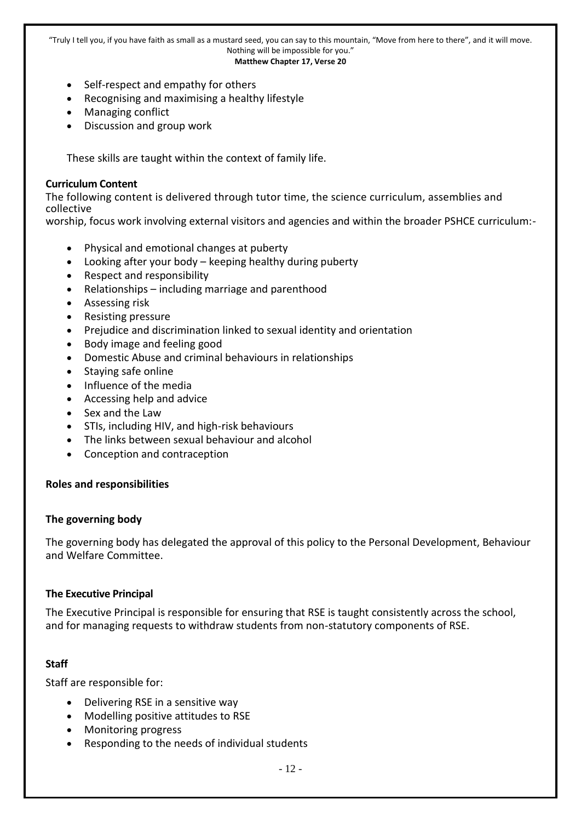- **Matthew Chapter 17, Verse 20**
- Self-respect and empathy for others
- Recognising and maximising a healthy lifestyle
- Managing conflict
- Discussion and group work

These skills are taught within the context of family life.

#### **Curriculum Content**

The following content is delivered through tutor time, the science curriculum, assemblies and collective

worship, focus work involving external visitors and agencies and within the broader PSHCE curriculum:-

- Physical and emotional changes at puberty
- Looking after your body keeping healthy during puberty
- Respect and responsibility
- Relationships including marriage and parenthood
- Assessing risk
- Resisting pressure
- Prejudice and discrimination linked to sexual identity and orientation
- Body image and feeling good
- Domestic Abuse and criminal behaviours in relationships
- Staying safe online
- Influence of the media
- Accessing help and advice
- Sex and the Law
- STIs, including HIV, and high-risk behaviours
- The links between sexual behaviour and alcohol
- Conception and contraception

#### **Roles and responsibilities**

#### **The governing body**

The governing body has delegated the approval of this policy to the Personal Development, Behaviour and Welfare Committee.

#### **The Executive Principal**

The Executive Principal is responsible for ensuring that RSE is taught consistently across the school, and for managing requests to withdraw students from non-statutory components of RSE.

#### **Staff**

Staff are responsible for:

- Delivering RSE in a sensitive way
- Modelling positive attitudes to RSE
- Monitoring progress
- Responding to the needs of individual students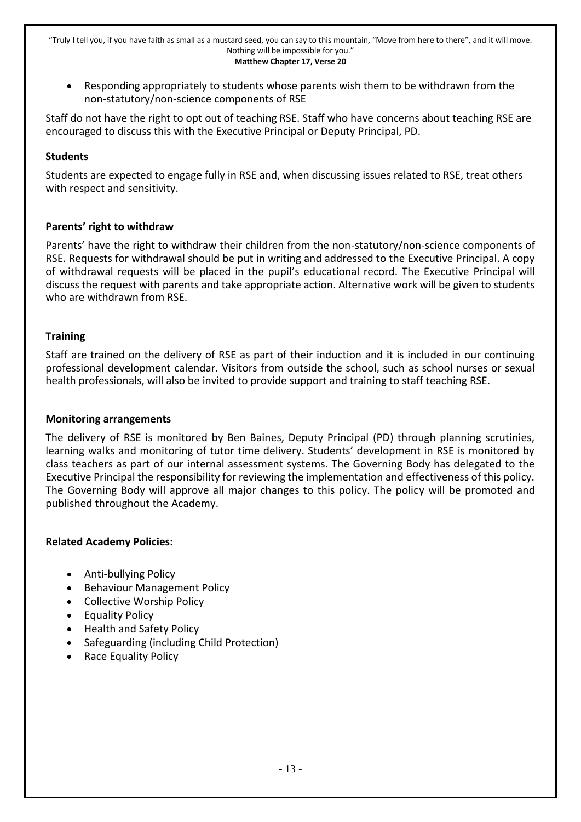Responding appropriately to students whose parents wish them to be withdrawn from the non-statutory/non-science components of RSE

Staff do not have the right to opt out of teaching RSE. Staff who have concerns about teaching RSE are encouraged to discuss this with the Executive Principal or Deputy Principal, PD.

#### **Students**

Students are expected to engage fully in RSE and, when discussing issues related to RSE, treat others with respect and sensitivity.

#### **Parents' right to withdraw**

Parents' have the right to withdraw their children from the non-statutory/non-science components of RSE. Requests for withdrawal should be put in writing and addressed to the Executive Principal. A copy of withdrawal requests will be placed in the pupil's educational record. The Executive Principal will discuss the request with parents and take appropriate action. Alternative work will be given to students who are withdrawn from RSE.

#### **Training**

Staff are trained on the delivery of RSE as part of their induction and it is included in our continuing professional development calendar. Visitors from outside the school, such as school nurses or sexual health professionals, will also be invited to provide support and training to staff teaching RSE.

#### **Monitoring arrangements**

The delivery of RSE is monitored by Ben Baines, Deputy Principal (PD) through planning scrutinies, learning walks and monitoring of tutor time delivery. Students' development in RSE is monitored by class teachers as part of our internal assessment systems. The Governing Body has delegated to the Executive Principal the responsibility for reviewing the implementation and effectiveness of this policy. The Governing Body will approve all major changes to this policy. The policy will be promoted and published throughout the Academy.

#### **Related Academy Policies:**

- Anti-bullying Policy
- Behaviour Management Policy
- Collective Worship Policy
- Equality Policy
- Health and Safety Policy
- Safeguarding (including Child Protection)
- Race Equality Policy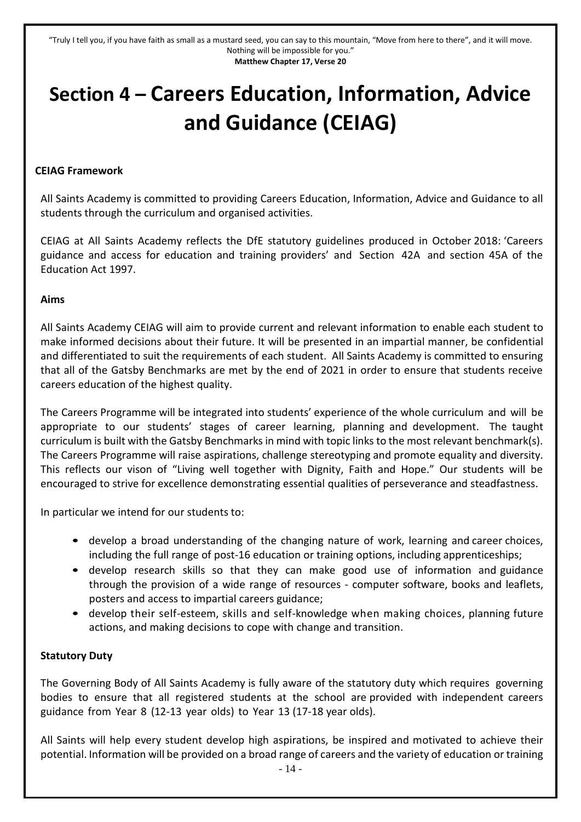# <span id="page-13-0"></span>**Section 4 – Careers Education, Information, Advice and Guidance (CEIAG)**

#### **CEIAG Framework**

All Saints Academy is committed to providing Careers Education, Information, Advice and Guidance to all students through the curriculum and organised activities.

CEIAG at All Saints Academy reflects the DfE statutory guidelines produced in October 2018: 'Careers guidance and access for education and training providers' and Section 42A and section 45A of the Education Act 1997.

#### **Aims**

All Saints Academy CEIAG will aim to provide current and relevant information to enable each student to make informed decisions about their future. It will be presented in an impartial manner, be confidential and differentiated to suit the requirements of each student. All Saints Academy is committed to ensuring that all of the Gatsby Benchmarks are met by the end of 2021 in order to ensure that students receive careers education of the highest quality.

The Careers Programme will be integrated into students' experience of the whole curriculum and will be appropriate to our students' stages of career learning, planning and development. The taught curriculum is built with the Gatsby Benchmarks in mind with topic links to the most relevant benchmark(s). The Careers Programme will raise aspirations, challenge stereotyping and promote equality and diversity. This reflects our vison of "Living well together with Dignity, Faith and Hope." Our students will be encouraged to strive for excellence demonstrating essential qualities of perseverance and steadfastness.

In particular we intend for our students to:

- develop a broad understanding of the changing nature of work, learning and career choices, including the full range of post-16 education or training options, including apprenticeships;
- develop research skills so that they can make good use of information and guidance through the provision of a wide range of resources - computer software, books and leaflets, posters and access to impartial careers guidance;
- develop their self-esteem, skills and self-knowledge when making choices, planning future actions, and making decisions to cope with change and transition.

#### **Statutory Duty**

The Governing Body of All Saints Academy is fully aware of the statutory duty which requires governing bodies to ensure that all registered students at the school are provided with independent careers guidance from Year 8 (12-13 year olds) to Year 13 (17-18 year olds).

All Saints will help every student develop high aspirations, be inspired and motivated to achieve their potential. Information will be provided on a broad range of careers and the variety of education or training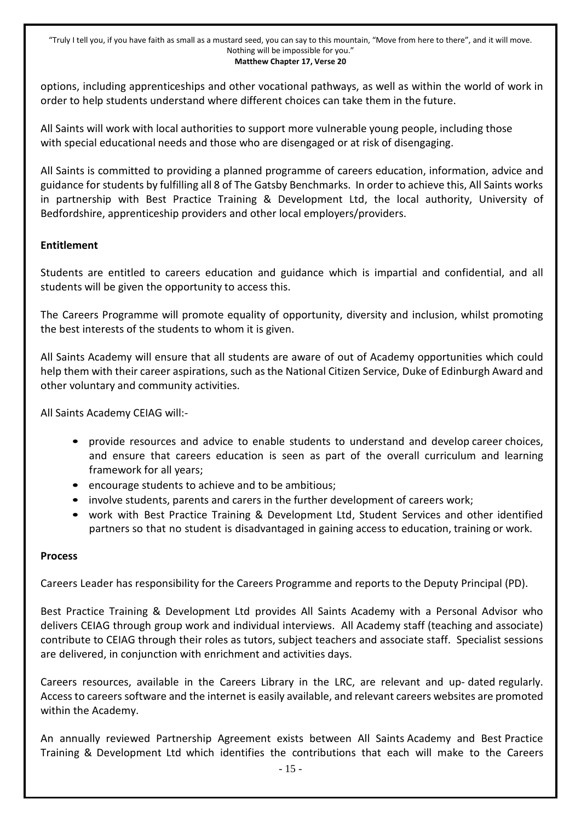options, including apprenticeships and other vocational pathways, as well as within the world of work in order to help students understand where different choices can take them in the future.

All Saints will work with local authorities to support more vulnerable young people, including those with special educational needs and those who are disengaged or at risk of disengaging.

All Saints is committed to providing a planned programme of careers education, information, advice and guidance for students by fulfilling all 8 of The Gatsby Benchmarks. In order to achieve this, All Saints works in partnership with Best Practice Training & Development Ltd, the local authority, University of Bedfordshire, apprenticeship providers and other local employers/providers.

#### **Entitlement**

Students are entitled to careers education and guidance which is impartial and confidential, and all students will be given the opportunity to access this.

The Careers Programme will promote equality of opportunity, diversity and inclusion, whilst promoting the best interests of the students to whom it is given.

All Saints Academy will ensure that all students are aware of out of Academy opportunities which could help them with their career aspirations, such as the National Citizen Service, Duke of Edinburgh Award and other voluntary and community activities.

All Saints Academy CEIAG will:-

- provide resources and advice to enable students to understand and develop career choices, and ensure that careers education is seen as part of the overall curriculum and learning framework for all years;
- encourage students to achieve and to be ambitious;
- involve students, parents and carers in the further development of careers work;
- work with Best Practice Training & Development Ltd, Student Services and other identified partners so that no student is disadvantaged in gaining access to education, training or work.

#### **Process**

Careers Leader has responsibility for the Careers Programme and reports to the Deputy Principal (PD).

Best Practice Training & Development Ltd provides All Saints Academy with a Personal Advisor who delivers CEIAG through group work and individual interviews. All Academy staff (teaching and associate) contribute to CEIAG through their roles as tutors, subject teachers and associate staff. Specialist sessions are delivered, in conjunction with enrichment and activities days.

Careers resources, available in the Careers Library in the LRC, are relevant and up- dated regularly. Access to careers software and the internet is easily available, and relevant careers websites are promoted within the Academy.

An annually reviewed Partnership Agreement exists between All Saints Academy and Best Practice Training & Development Ltd which identifies the contributions that each will make to the Careers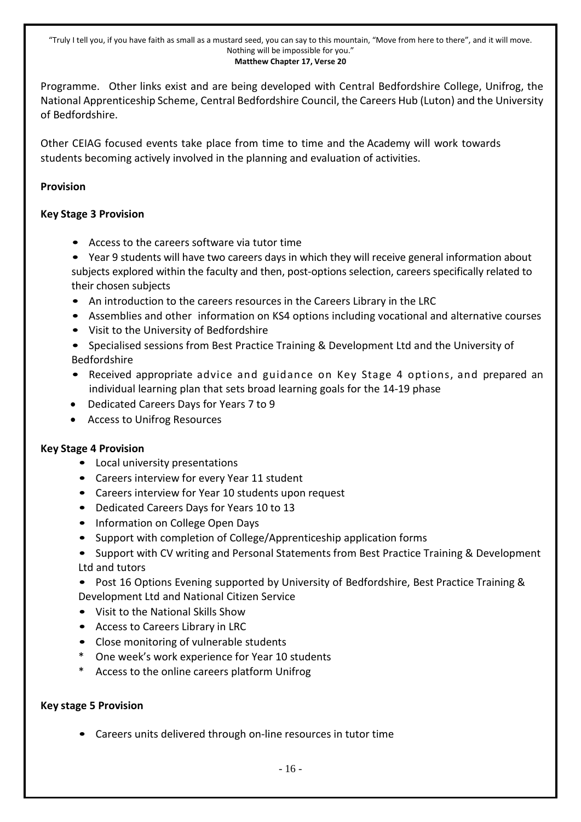Programme. Other links exist and are being developed with Central Bedfordshire College, Unifrog, the National Apprenticeship Scheme, Central Bedfordshire Council, the Careers Hub (Luton) and the University of Bedfordshire.

Other CEIAG focused events take place from time to time and the Academy will work towards students becoming actively involved in the planning and evaluation of activities.

#### **Provision**

#### **Key Stage 3 Provision**

- Access to the careers software via tutor time
- Year 9 students will have two careers days in which they will receive general information about subjects explored within the faculty and then, post-options selection, careers specifically related to their chosen subjects
- An introduction to the careers resources in the Careers Library in the LRC
- Assemblies and other information on KS4 options including vocational and alternative courses
- Visit to the University of Bedfordshire
- Specialised sessions from Best Practice Training & Development Ltd and the University of Bedfordshire
- Received appropriate advice and guidance on Key Stage 4 options, and prepared an individual learning plan that sets broad learning goals for the 14-19 phase
- Dedicated Careers Days for Years 7 to 9
- Access to Unifrog Resources

#### **Key Stage 4 Provision**

- Local university presentations
- Careers interview for every Year 11 student
- Careers interview for Year 10 students upon request
- Dedicated Careers Days for Years 10 to 13
- Information on College Open Days
- Support with completion of College/Apprenticeship application forms
- Support with CV writing and Personal Statements from Best Practice Training & Development Ltd and tutors

• Post 16 Options Evening supported by University of Bedfordshire, Best Practice Training & Development Ltd and National Citizen Service

- Visit to the National Skills Show
- Access to Careers Library in LRC
- Close monitoring of vulnerable students
- One week's work experience for Year 10 students
- \* Access to the online careers platform Unifrog

#### **Key stage 5 Provision**

• Careers units delivered through on-line resources in tutor time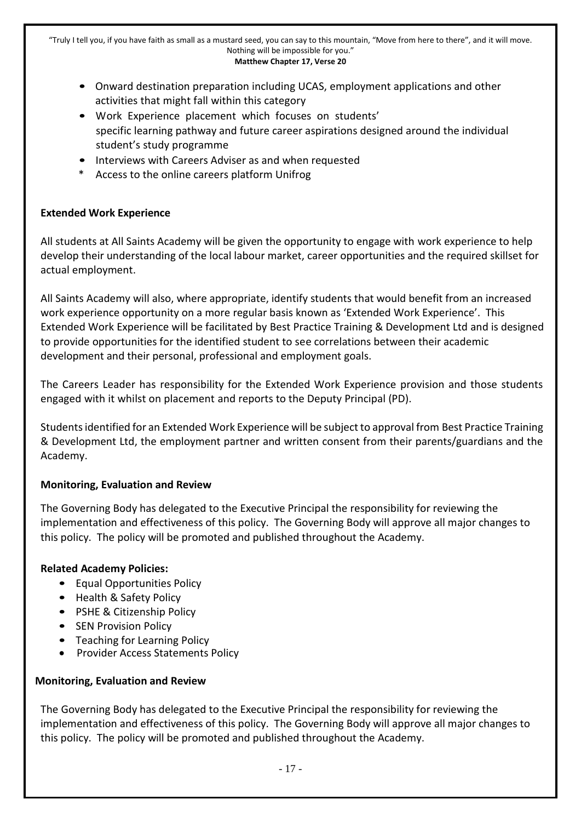- Onward destination preparation including UCAS, employment applications and other activities that might fall within this category
- Work Experience placement which focuses on students' specific learning pathway and future career aspirations designed around the individual student's study programme
- Interviews with Careers Adviser as and when requested
- Access to the online careers platform Unifrog

#### **Extended Work Experience**

All students at All Saints Academy will be given the opportunity to engage with work experience to help develop their understanding of the local labour market, career opportunities and the required skillset for actual employment.

All Saints Academy will also, where appropriate, identify students that would benefit from an increased work experience opportunity on a more regular basis known as 'Extended Work Experience'. This Extended Work Experience will be facilitated by Best Practice Training & Development Ltd and is designed to provide opportunities for the identified student to see correlations between their academic development and their personal, professional and employment goals.

The Careers Leader has responsibility for the Extended Work Experience provision and those students engaged with it whilst on placement and reports to the Deputy Principal (PD).

Students identified for an Extended Work Experience will be subject to approval from Best Practice Training & Development Ltd, the employment partner and written consent from their parents/guardians and the Academy.

#### **Monitoring, Evaluation and Review**

The Governing Body has delegated to the Executive Principal the responsibility for reviewing the implementation and effectiveness of this policy. The Governing Body will approve all major changes to this policy. The policy will be promoted and published throughout the Academy.

#### **Related Academy Policies:**

- Equal Opportunities Policy
- Health & Safety Policy
- PSHE & Citizenship Policy
- SEN Provision Policy
- Teaching for Learning Policy
- Provider Access Statements Policy

#### **Monitoring, Evaluation and Review**

The Governing Body has delegated to the Executive Principal the responsibility for reviewing the implementation and effectiveness of this policy. The Governing Body will approve all major changes to this policy. The policy will be promoted and published throughout the Academy.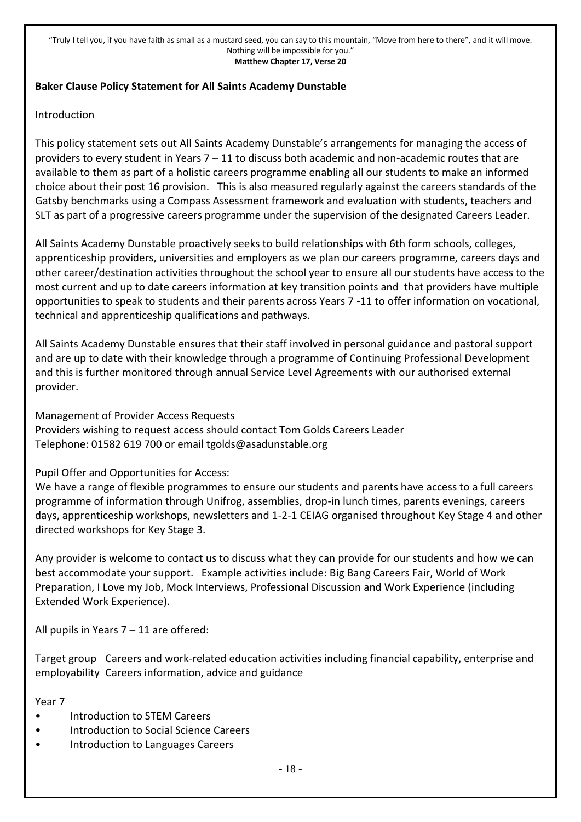#### **Baker Clause Policy Statement for All Saints Academy Dunstable**

#### Introduction

This policy statement sets out All Saints Academy Dunstable's arrangements for managing the access of providers to every student in Years 7 – 11 to discuss both academic and non-academic routes that are available to them as part of a holistic careers programme enabling all our students to make an informed choice about their post 16 provision. This is also measured regularly against the careers standards of the Gatsby benchmarks using a Compass Assessment framework and evaluation with students, teachers and SLT as part of a progressive careers programme under the supervision of the designated Careers Leader.

All Saints Academy Dunstable proactively seeks to build relationships with 6th form schools, colleges, apprenticeship providers, universities and employers as we plan our careers programme, careers days and other career/destination activities throughout the school year to ensure all our students have access to the most current and up to date careers information at key transition points and that providers have multiple opportunities to speak to students and their parents across Years 7 -11 to offer information on vocational, technical and apprenticeship qualifications and pathways.

All Saints Academy Dunstable ensures that their staff involved in personal guidance and pastoral support and are up to date with their knowledge through a programme of Continuing Professional Development and this is further monitored through annual Service Level Agreements with our authorised external provider.

Management of Provider Access Requests Providers wishing to request access should contact Tom Golds Careers Leader Telephone: 01582 619 700 or email tgolds@asadunstable.org

Pupil Offer and Opportunities for Access:

We have a range of flexible programmes to ensure our students and parents have access to a full careers programme of information through Unifrog, assemblies, drop-in lunch times, parents evenings, careers days, apprenticeship workshops, newsletters and 1-2-1 CEIAG organised throughout Key Stage 4 and other directed workshops for Key Stage 3.

Any provider is welcome to contact us to discuss what they can provide for our students and how we can best accommodate your support. Example activities include: Big Bang Careers Fair, World of Work Preparation, I Love my Job, Mock Interviews, Professional Discussion and Work Experience (including Extended Work Experience).

All pupils in Years 7 – 11 are offered:

Target group Careers and work-related education activities including financial capability, enterprise and employability Careers information, advice and guidance

Year 7

- Introduction to STEM Careers
- Introduction to Social Science Careers
- Introduction to Languages Careers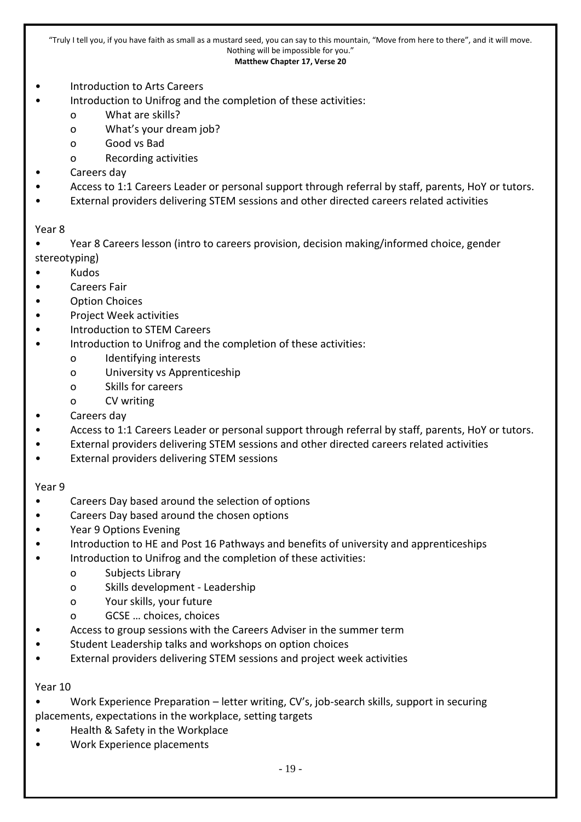#### **Matthew Chapter 17, Verse 20**

- Introduction to Arts Careers
	- Introduction to Unifrog and the completion of these activities:
		- o What are skills?
		- o What's your dream job?
		- o Good vs Bad
		- o Recording activities
- Careers day
- Access to 1:1 Careers Leader or personal support through referral by staff, parents, HoY or tutors.
- External providers delivering STEM sessions and other directed careers related activities

#### Year 8

- Year 8 Careers lesson (intro to careers provision, decision making/informed choice, gender stereotyping)
- Kudos
- Careers Fair
- Option Choices
- Project Week activities
- Introduction to STEM Careers
- Introduction to Unifrog and the completion of these activities:
	- o Identifying interests
	- o University vs Apprenticeship
	- o Skills for careers
	- o CV writing
- Careers day
- Access to 1:1 Careers Leader or personal support through referral by staff, parents, HoY or tutors.
- External providers delivering STEM sessions and other directed careers related activities
- External providers delivering STEM sessions

#### Year 9

- Careers Day based around the selection of options
- Careers Day based around the chosen options
- Year 9 Options Evening
- Introduction to HE and Post 16 Pathways and benefits of university and apprenticeships
- Introduction to Unifrog and the completion of these activities:
	- o Subjects Library
	- o Skills development Leadership
	- o Your skills, your future
	- o GCSE … choices, choices
- Access to group sessions with the Careers Adviser in the summer term
- Student Leadership talks and workshops on option choices
- External providers delivering STEM sessions and project week activities

#### Year 10

- Work Experience Preparation letter writing, CV's, job-search skills, support in securing placements, expectations in the workplace, setting targets
- Health & Safety in the Workplace
- Work Experience placements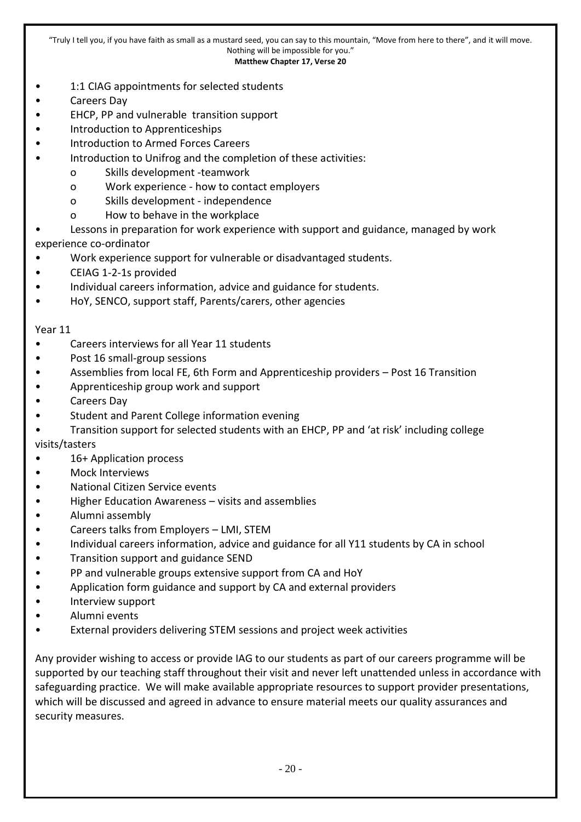#### **Matthew Chapter 17, Verse 20**

- 1:1 CIAG appointments for selected students
- Careers Day
- EHCP, PP and vulnerable transition support
- Introduction to Apprenticeships
- Introduction to Armed Forces Careers
- Introduction to Unifrog and the completion of these activities:
	- o Skills development -teamwork
	- o Work experience how to contact employers
	- o Skills development independence
	- o How to behave in the workplace
- Lessons in preparation for work experience with support and guidance, managed by work experience co-ordinator
- Work experience support for vulnerable or disadvantaged students.
- CEIAG 1-2-1s provided
- Individual careers information, advice and guidance for students.
- HoY, SENCO, support staff, Parents/carers, other agencies

#### Year 11

- Careers interviews for all Year 11 students
- Post 16 small-group sessions
- Assemblies from local FE, 6th Form and Apprenticeship providers Post 16 Transition
- Apprenticeship group work and support
- Careers Day
- Student and Parent College information evening
- Transition support for selected students with an EHCP, PP and 'at risk' including college

visits/tasters

- 16+ Application process
- Mock Interviews
- National Citizen Service events
- Higher Education Awareness visits and assemblies
- Alumni assembly
- Careers talks from Employers LMI, STEM
- Individual careers information, advice and guidance for all Y11 students by CA in school
- Transition support and guidance SEND
- PP and vulnerable groups extensive support from CA and HoY
- Application form guidance and support by CA and external providers
- Interview support
- Alumni events
- External providers delivering STEM sessions and project week activities

Any provider wishing to access or provide IAG to our students as part of our careers programme will be supported by our teaching staff throughout their visit and never left unattended unless in accordance with safeguarding practice. We will make available appropriate resources to support provider presentations, which will be discussed and agreed in advance to ensure material meets our quality assurances and security measures.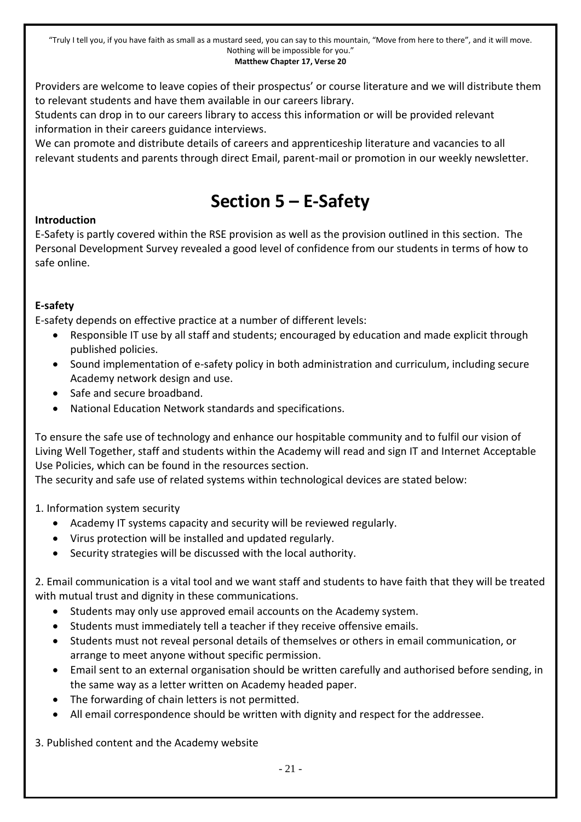Providers are welcome to leave copies of their prospectus' or course literature and we will distribute them to relevant students and have them available in our careers library.

Students can drop in to our careers library to access this information or will be provided relevant information in their careers guidance interviews.

<span id="page-20-0"></span>We can promote and distribute details of careers and apprenticeship literature and vacancies to all relevant students and parents through direct Email, parent-mail or promotion in our weekly newsletter.

# **Section 5 – E-Safety**

#### **Introduction**

E-Safety is partly covered within the RSE provision as well as the provision outlined in this section. The Personal Development Survey revealed a good level of confidence from our students in terms of how to safe online.

#### **E-safety**

E-safety depends on effective practice at a number of different levels:

- Responsible IT use by all staff and students; encouraged by education and made explicit through published policies.
- Sound implementation of e-safety policy in both administration and curriculum, including secure Academy network design and use.
- Safe and secure broadband.
- National Education Network standards and specifications.

To ensure the safe use of technology and enhance our hospitable community and to fulfil our vision of Living Well Together, staff and students within the Academy will read and sign IT and Internet Acceptable Use Policies, which can be found in the resources section.

The security and safe use of related systems within technological devices are stated below:

#### 1. Information system security

- Academy IT systems capacity and security will be reviewed regularly.
- Virus protection will be installed and updated regularly.
- Security strategies will be discussed with the local authority.

2. Email communication is a vital tool and we want staff and students to have faith that they will be treated with mutual trust and dignity in these communications.

- Students may only use approved email accounts on the Academy system.
- Students must immediately tell a teacher if they receive offensive emails.
- Students must not reveal personal details of themselves or others in email communication, or arrange to meet anyone without specific permission.
- Email sent to an external organisation should be written carefully and authorised before sending, in the same way as a letter written on Academy headed paper.
- The forwarding of chain letters is not permitted.
- All email correspondence should be written with dignity and respect for the addressee.

3. Published content and the Academy website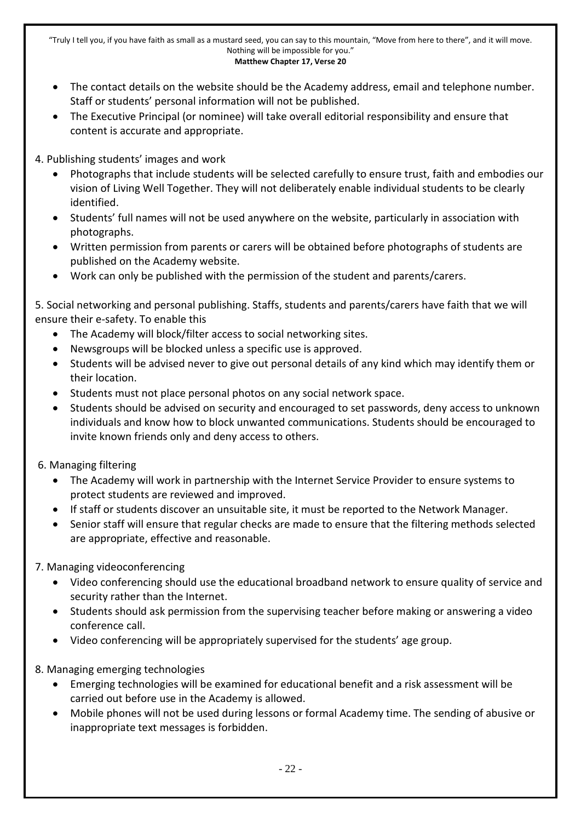- The contact details on the website should be the Academy address, email and telephone number. Staff or students' personal information will not be published.
- The Executive Principal (or nominee) will take overall editorial responsibility and ensure that content is accurate and appropriate.

4. Publishing students' images and work

- Photographs that include students will be selected carefully to ensure trust, faith and embodies our vision of Living Well Together. They will not deliberately enable individual students to be clearly identified.
- Students' full names will not be used anywhere on the website, particularly in association with photographs.
- Written permission from parents or carers will be obtained before photographs of students are published on the Academy website.
- Work can only be published with the permission of the student and parents/carers.

5. Social networking and personal publishing. Staffs, students and parents/carers have faith that we will ensure their e-safety. To enable this

- The Academy will block/filter access to social networking sites.
- Newsgroups will be blocked unless a specific use is approved.
- Students will be advised never to give out personal details of any kind which may identify them or their location.
- Students must not place personal photos on any social network space.
- Students should be advised on security and encouraged to set passwords, deny access to unknown individuals and know how to block unwanted communications. Students should be encouraged to invite known friends only and deny access to others.
- 6. Managing filtering
	- The Academy will work in partnership with the Internet Service Provider to ensure systems to protect students are reviewed and improved.
	- If staff or students discover an unsuitable site, it must be reported to the Network Manager.
	- Senior staff will ensure that regular checks are made to ensure that the filtering methods selected are appropriate, effective and reasonable.
- 7. Managing videoconferencing
	- Video conferencing should use the educational broadband network to ensure quality of service and security rather than the Internet.
	- Students should ask permission from the supervising teacher before making or answering a video conference call.
	- Video conferencing will be appropriately supervised for the students' age group.
- 8. Managing emerging technologies
	- Emerging technologies will be examined for educational benefit and a risk assessment will be carried out before use in the Academy is allowed.
	- Mobile phones will not be used during lessons or formal Academy time. The sending of abusive or inappropriate text messages is forbidden.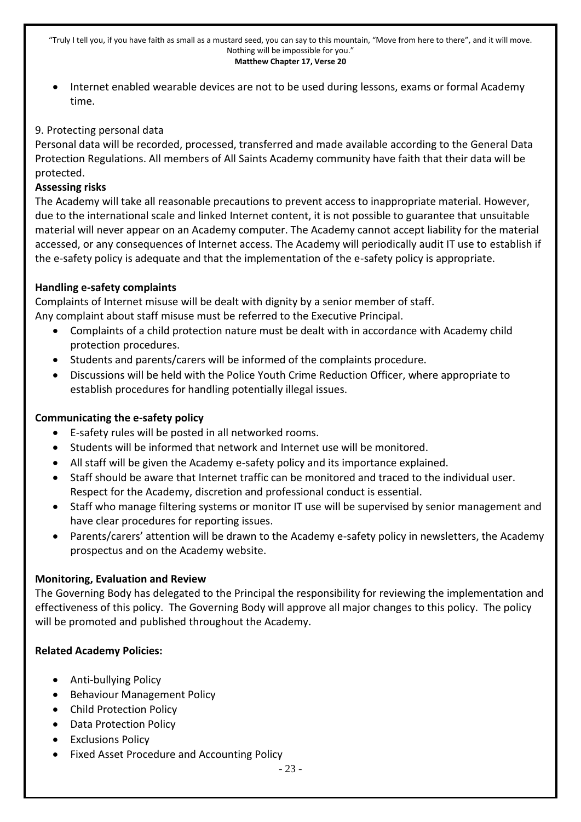Internet enabled wearable devices are not to be used during lessons, exams or formal Academy time.

#### 9. Protecting personal data

Personal data will be recorded, processed, transferred and made available according to the General Data Protection Regulations. All members of All Saints Academy community have faith that their data will be protected.

#### **Assessing risks**

The Academy will take all reasonable precautions to prevent access to inappropriate material. However, due to the international scale and linked Internet content, it is not possible to guarantee that unsuitable material will never appear on an Academy computer. The Academy cannot accept liability for the material accessed, or any consequences of Internet access. The Academy will periodically audit IT use to establish if the e-safety policy is adequate and that the implementation of the e-safety policy is appropriate.

#### **Handling e-safety complaints**

Complaints of Internet misuse will be dealt with dignity by a senior member of staff.

Any complaint about staff misuse must be referred to the Executive Principal.

- Complaints of a child protection nature must be dealt with in accordance with Academy child protection procedures.
- Students and parents/carers will be informed of the complaints procedure.
- Discussions will be held with the Police Youth Crime Reduction Officer, where appropriate to establish procedures for handling potentially illegal issues.

#### **Communicating the e-safety policy**

- E-safety rules will be posted in all networked rooms.
- Students will be informed that network and Internet use will be monitored.
- All staff will be given the Academy e-safety policy and its importance explained.
- Staff should be aware that Internet traffic can be monitored and traced to the individual user. Respect for the Academy, discretion and professional conduct is essential.
- Staff who manage filtering systems or monitor IT use will be supervised by senior management and have clear procedures for reporting issues.
- Parents/carers' attention will be drawn to the Academy e-safety policy in newsletters, the Academy prospectus and on the Academy website.

#### **Monitoring, Evaluation and Review**

The Governing Body has delegated to the Principal the responsibility for reviewing the implementation and effectiveness of this policy. The Governing Body will approve all major changes to this policy. The policy will be promoted and published throughout the Academy.

#### **Related Academy Policies:**

- Anti-bullying Policy
- Behaviour Management Policy
- Child Protection Policy
- Data Protection Policy
- Exclusions Policy
- Fixed Asset Procedure and Accounting Policy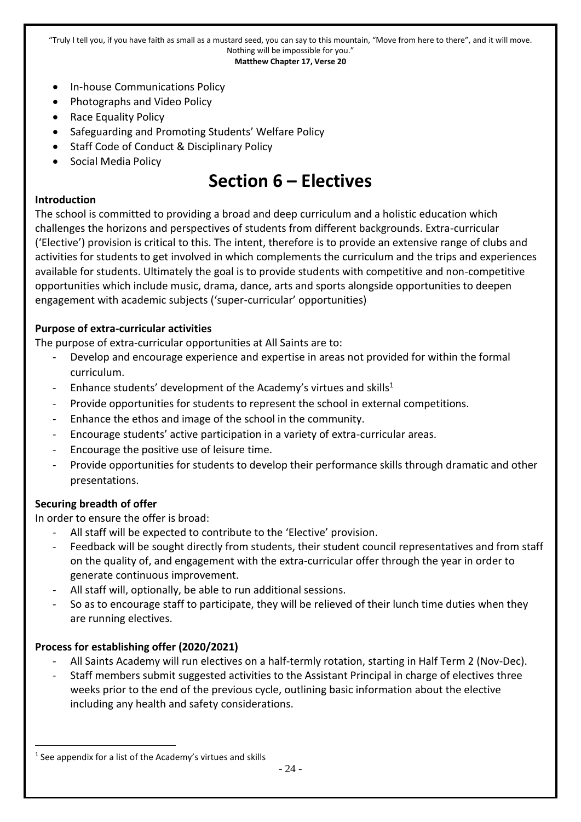- In-house Communications Policy
- Photographs and Video Policy
- Race Equality Policy
- Safeguarding and Promoting Students' Welfare Policy
- Staff Code of Conduct & Disciplinary Policy
- Social Media Policy

# **Section 6 – Electives**

#### <span id="page-23-0"></span>**Introduction**

The school is committed to providing a broad and deep curriculum and a holistic education which challenges the horizons and perspectives of students from different backgrounds. Extra-curricular ('Elective') provision is critical to this. The intent, therefore is to provide an extensive range of clubs and activities for students to get involved in which complements the curriculum and the trips and experiences available for students. Ultimately the goal is to provide students with competitive and non-competitive opportunities which include music, drama, dance, arts and sports alongside opportunities to deepen engagement with academic subjects ('super-curricular' opportunities)

#### **Purpose of extra-curricular activities**

The purpose of extra-curricular opportunities at All Saints are to:

- Develop and encourage experience and expertise in areas not provided for within the formal curriculum.
- Enhance students' development of the Academy's virtues and skills<sup>1</sup>
- Provide opportunities for students to represent the school in external competitions.
- Enhance the ethos and image of the school in the community.
- Encourage students' active participation in a variety of extra-curricular areas.
- Encourage the positive use of leisure time.
- Provide opportunities for students to develop their performance skills through dramatic and other presentations.

#### **Securing breadth of offer**

In order to ensure the offer is broad:

- All staff will be expected to contribute to the 'Elective' provision.
- Feedback will be sought directly from students, their student council representatives and from staff on the quality of, and engagement with the extra-curricular offer through the year in order to generate continuous improvement.
- All staff will, optionally, be able to run additional sessions.
- So as to encourage staff to participate, they will be relieved of their lunch time duties when they are running electives.

#### **Process for establishing offer (2020/2021)**

- All Saints Academy will run electives on a half-termly rotation, starting in Half Term 2 (Nov-Dec).
- Staff members submit suggested activities to the Assistant Principal in charge of electives three weeks prior to the end of the previous cycle, outlining basic information about the elective including any health and safety considerations.

<sup>-</sup><sup>1</sup> See appendix for a list of the Academy's virtues and skills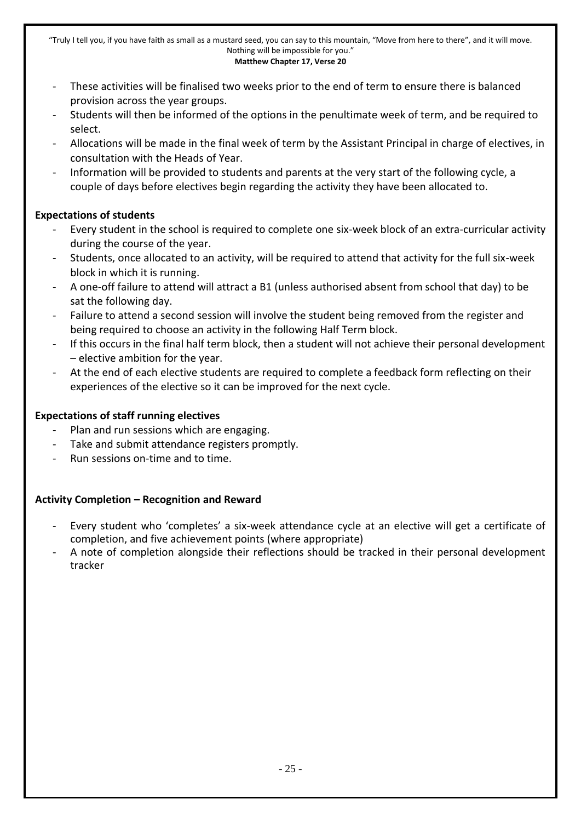- These activities will be finalised two weeks prior to the end of term to ensure there is balanced provision across the year groups.
- Students will then be informed of the options in the penultimate week of term, and be required to select.
- Allocations will be made in the final week of term by the Assistant Principal in charge of electives, in consultation with the Heads of Year.
- Information will be provided to students and parents at the very start of the following cycle, a couple of days before electives begin regarding the activity they have been allocated to.

#### **Expectations of students**

- Every student in the school is required to complete one six-week block of an extra-curricular activity during the course of the year.
- Students, once allocated to an activity, will be required to attend that activity for the full six-week block in which it is running.
- A one-off failure to attend will attract a B1 (unless authorised absent from school that day) to be sat the following day.
- Failure to attend a second session will involve the student being removed from the register and being required to choose an activity in the following Half Term block.
- If this occurs in the final half term block, then a student will not achieve their personal development – elective ambition for the year.
- At the end of each elective students are required to complete a feedback form reflecting on their experiences of the elective so it can be improved for the next cycle.

#### **Expectations of staff running electives**

- Plan and run sessions which are engaging.
- Take and submit attendance registers promptly.
- Run sessions on-time and to time.

#### **Activity Completion – Recognition and Reward**

- Every student who 'completes' a six-week attendance cycle at an elective will get a certificate of completion, and five achievement points (where appropriate)
- A note of completion alongside their reflections should be tracked in their personal development tracker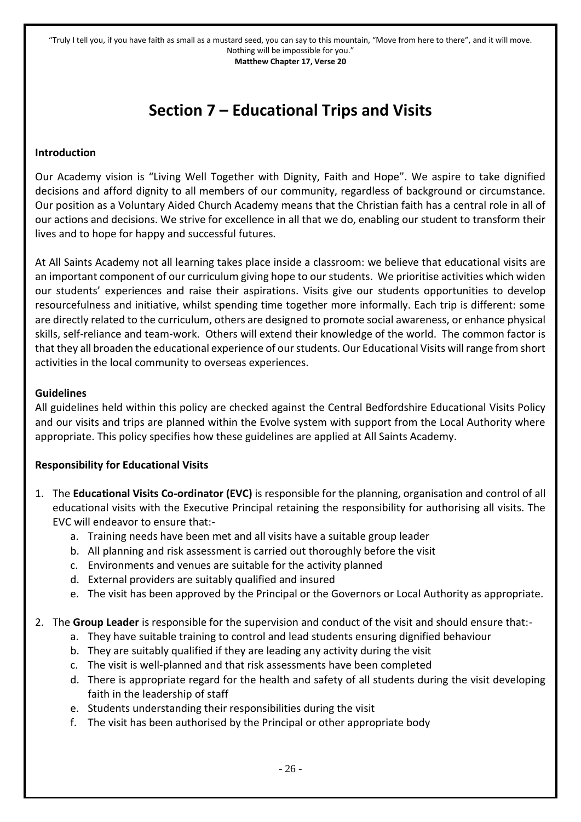## **Section 7 – Educational Trips and Visits**

#### <span id="page-25-0"></span>**Introduction**

Our Academy vision is "Living Well Together with Dignity, Faith and Hope". We aspire to take dignified decisions and afford dignity to all members of our community, regardless of background or circumstance. Our position as a Voluntary Aided Church Academy means that the Christian faith has a central role in all of our actions and decisions. We strive for excellence in all that we do, enabling our student to transform their lives and to hope for happy and successful futures.

At All Saints Academy not all learning takes place inside a classroom: we believe that educational visits are an important component of our curriculum giving hope to our students. We prioritise activities which widen our students' experiences and raise their aspirations. Visits give our students opportunities to develop resourcefulness and initiative, whilst spending time together more informally. Each trip is different: some are directly related to the curriculum, others are designed to promote social awareness, or enhance physical skills, self-reliance and team-work. Others will extend their knowledge of the world. The common factor is that they all broaden the educational experience of our students. Our Educational Visits will range from short activities in the local community to overseas experiences.

#### **Guidelines**

All guidelines held within this policy are checked against the Central Bedfordshire Educational Visits Policy and our visits and trips are planned within the Evolve system with support from the Local Authority where appropriate. This policy specifies how these guidelines are applied at All Saints Academy.

#### **Responsibility for Educational Visits**

- 1. The **Educational Visits Co-ordinator (EVC)** is responsible for the planning, organisation and control of all educational visits with the Executive Principal retaining the responsibility for authorising all visits. The EVC will endeavor to ensure that:
	- a. Training needs have been met and all visits have a suitable group leader
	- b. All planning and risk assessment is carried out thoroughly before the visit
	- c. Environments and venues are suitable for the activity planned
	- d. External providers are suitably qualified and insured
	- e. The visit has been approved by the Principal or the Governors or Local Authority as appropriate.

#### 2. The **Group Leader** is responsible for the supervision and conduct of the visit and should ensure that:-

- a. They have suitable training to control and lead students ensuring dignified behaviour
- b. They are suitably qualified if they are leading any activity during the visit
- c. The visit is well-planned and that risk assessments have been completed
- d. There is appropriate regard for the health and safety of all students during the visit developing faith in the leadership of staff
- e. Students understanding their responsibilities during the visit
- f. The visit has been authorised by the Principal or other appropriate body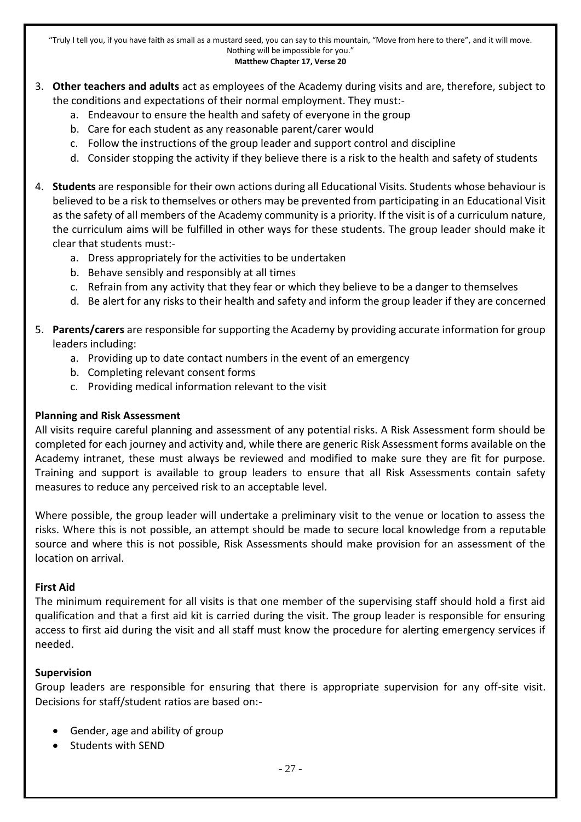- 3. **Other teachers and adults** act as employees of the Academy during visits and are, therefore, subject to the conditions and expectations of their normal employment. They must:
	- a. Endeavour to ensure the health and safety of everyone in the group
	- b. Care for each student as any reasonable parent/carer would
	- c. Follow the instructions of the group leader and support control and discipline
	- d. Consider stopping the activity if they believe there is a risk to the health and safety of students
- 4. **Students** are responsible for their own actions during all Educational Visits. Students whose behaviour is believed to be a risk to themselves or others may be prevented from participating in an Educational Visit as the safety of all members of the Academy community is a priority. If the visit is of a curriculum nature, the curriculum aims will be fulfilled in other ways for these students. The group leader should make it clear that students must:
	- a. Dress appropriately for the activities to be undertaken
	- b. Behave sensibly and responsibly at all times
	- c. Refrain from any activity that they fear or which they believe to be a danger to themselves
	- d. Be alert for any risks to their health and safety and inform the group leader if they are concerned
- 5. **Parents/carers** are responsible for supporting the Academy by providing accurate information for group leaders including:
	- a. Providing up to date contact numbers in the event of an emergency
	- b. Completing relevant consent forms
	- c. Providing medical information relevant to the visit

#### **Planning and Risk Assessment**

All visits require careful planning and assessment of any potential risks. A Risk Assessment form should be completed for each journey and activity and, while there are generic Risk Assessment forms available on the Academy intranet, these must always be reviewed and modified to make sure they are fit for purpose. Training and support is available to group leaders to ensure that all Risk Assessments contain safety measures to reduce any perceived risk to an acceptable level.

Where possible, the group leader will undertake a preliminary visit to the venue or location to assess the risks. Where this is not possible, an attempt should be made to secure local knowledge from a reputable source and where this is not possible, Risk Assessments should make provision for an assessment of the location on arrival.

#### **First Aid**

The minimum requirement for all visits is that one member of the supervising staff should hold a first aid qualification and that a first aid kit is carried during the visit. The group leader is responsible for ensuring access to first aid during the visit and all staff must know the procedure for alerting emergency services if needed.

#### **Supervision**

Group leaders are responsible for ensuring that there is appropriate supervision for any off-site visit. Decisions for staff/student ratios are based on:-

- Gender, age and ability of group
- Students with SEND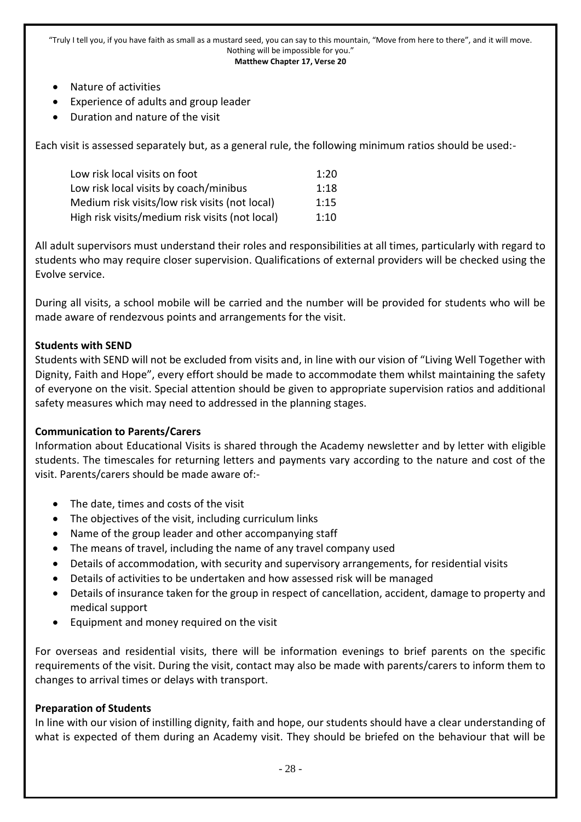- Nature of activities
- Experience of adults and group leader
- Duration and nature of the visit

Each visit is assessed separately but, as a general rule, the following minimum ratios should be used:-

| Low risk local visits on foot                   | 1:20 |
|-------------------------------------------------|------|
| Low risk local visits by coach/minibus          | 1:18 |
| Medium risk visits/low risk visits (not local)  | 1:15 |
| High risk visits/medium risk visits (not local) | 1:10 |

All adult supervisors must understand their roles and responsibilities at all times, particularly with regard to students who may require closer supervision. Qualifications of external providers will be checked using the Evolve service.

During all visits, a school mobile will be carried and the number will be provided for students who will be made aware of rendezvous points and arrangements for the visit.

#### **Students with SEND**

Students with SEND will not be excluded from visits and, in line with our vision of "Living Well Together with Dignity, Faith and Hope", every effort should be made to accommodate them whilst maintaining the safety of everyone on the visit. Special attention should be given to appropriate supervision ratios and additional safety measures which may need to addressed in the planning stages.

#### **Communication to Parents/Carers**

Information about Educational Visits is shared through the Academy newsletter and by letter with eligible students. The timescales for returning letters and payments vary according to the nature and cost of the visit. Parents/carers should be made aware of:-

- The date, times and costs of the visit
- The objectives of the visit, including curriculum links
- Name of the group leader and other accompanying staff
- The means of travel, including the name of any travel company used
- Details of accommodation, with security and supervisory arrangements, for residential visits
- Details of activities to be undertaken and how assessed risk will be managed
- Details of insurance taken for the group in respect of cancellation, accident, damage to property and medical support
- Equipment and money required on the visit

For overseas and residential visits, there will be information evenings to brief parents on the specific requirements of the visit. During the visit, contact may also be made with parents/carers to inform them to changes to arrival times or delays with transport.

#### **Preparation of Students**

In line with our vision of instilling dignity, faith and hope, our students should have a clear understanding of what is expected of them during an Academy visit. They should be briefed on the behaviour that will be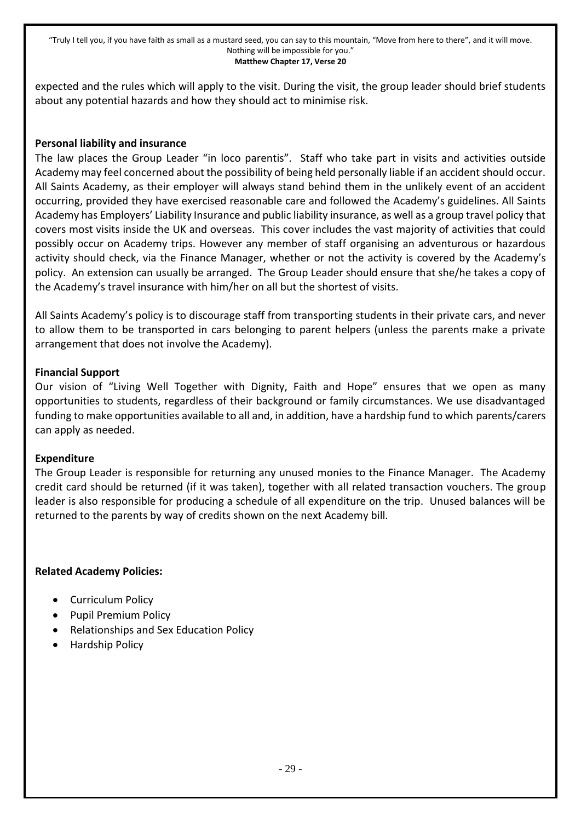expected and the rules which will apply to the visit. During the visit, the group leader should brief students about any potential hazards and how they should act to minimise risk.

#### **Personal liability and insurance**

The law places the Group Leader "in loco parentis". Staff who take part in visits and activities outside Academy may feel concerned about the possibility of being held personally liable if an accident should occur. All Saints Academy, as their employer will always stand behind them in the unlikely event of an accident occurring, provided they have exercised reasonable care and followed the Academy's guidelines. All Saints Academy has Employers' Liability Insurance and public liability insurance, as well as a group travel policy that covers most visits inside the UK and overseas. This cover includes the vast majority of activities that could possibly occur on Academy trips. However any member of staff organising an adventurous or hazardous activity should check, via the Finance Manager, whether or not the activity is covered by the Academy's policy. An extension can usually be arranged. The Group Leader should ensure that she/he takes a copy of the Academy's travel insurance with him/her on all but the shortest of visits.

All Saints Academy's policy is to discourage staff from transporting students in their private cars, and never to allow them to be transported in cars belonging to parent helpers (unless the parents make a private arrangement that does not involve the Academy).

#### **Financial Support**

Our vision of "Living Well Together with Dignity, Faith and Hope" ensures that we open as many opportunities to students, regardless of their background or family circumstances. We use disadvantaged funding to make opportunities available to all and, in addition, have a hardship fund to which parents/carers can apply as needed.

#### **Expenditure**

The Group Leader is responsible for returning any unused monies to the Finance Manager. The Academy credit card should be returned (if it was taken), together with all related transaction vouchers. The group leader is also responsible for producing a schedule of all expenditure on the trip. Unused balances will be returned to the parents by way of credits shown on the next Academy bill.

#### **Related Academy Policies:**

- Curriculum Policy
- Pupil Premium Policy
- Relationships and Sex Education Policy
- Hardship Policy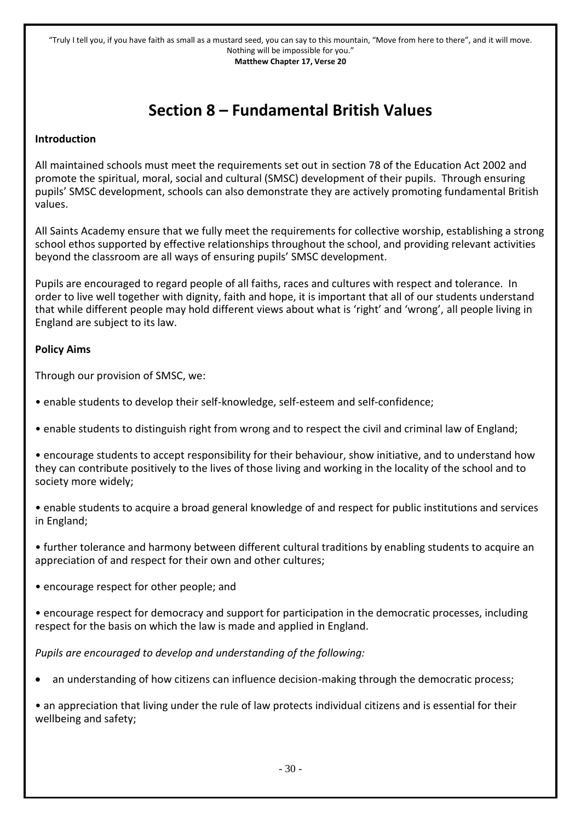### **Section 8 – Fundamental British Values**

#### <span id="page-29-0"></span>**Introduction**

All maintained schools must meet the requirements set out in section 78 of the Education Act 2002 and promote the spiritual, moral, social and cultural (SMSC) development of their pupils. Through ensuring pupils' SMSC development, schools can also demonstrate they are actively promoting fundamental British values.

All Saints Academy ensure that we fully meet the requirements for collective worship, establishing a strong school ethos supported by effective relationships throughout the school, and providing relevant activities beyond the classroom are all ways of ensuring pupils' SMSC development.

Pupils are encouraged to regard people of all faiths, races and cultures with respect and tolerance. In order to live well together with dignity, faith and hope, it is important that all of our students understand that while different people may hold different views about what is 'right' and 'wrong', all people living in England are subject to its law.

#### **Policy Aims**

Through our provision of SMSC, we:

- enable students to develop their self-knowledge, self-esteem and self-confidence;
- enable students to distinguish right from wrong and to respect the civil and criminal law of England;

• encourage students to accept responsibility for their behaviour, show initiative, and to understand how they can contribute positively to the lives of those living and working in the locality of the school and to society more widely;

• enable students to acquire a broad general knowledge of and respect for public institutions and services in England;

• further tolerance and harmony between different cultural traditions by enabling students to acquire an appreciation of and respect for their own and other cultures;

• encourage respect for other people; and

• encourage respect for democracy and support for participation in the democratic processes, including respect for the basis on which the law is made and applied in England.

*Pupils are encouraged to develop and understanding of the following:*

- an understanding of how citizens can influence decision-making through the democratic process;
- an appreciation that living under the rule of law protects individual citizens and is essential for their wellbeing and safety;